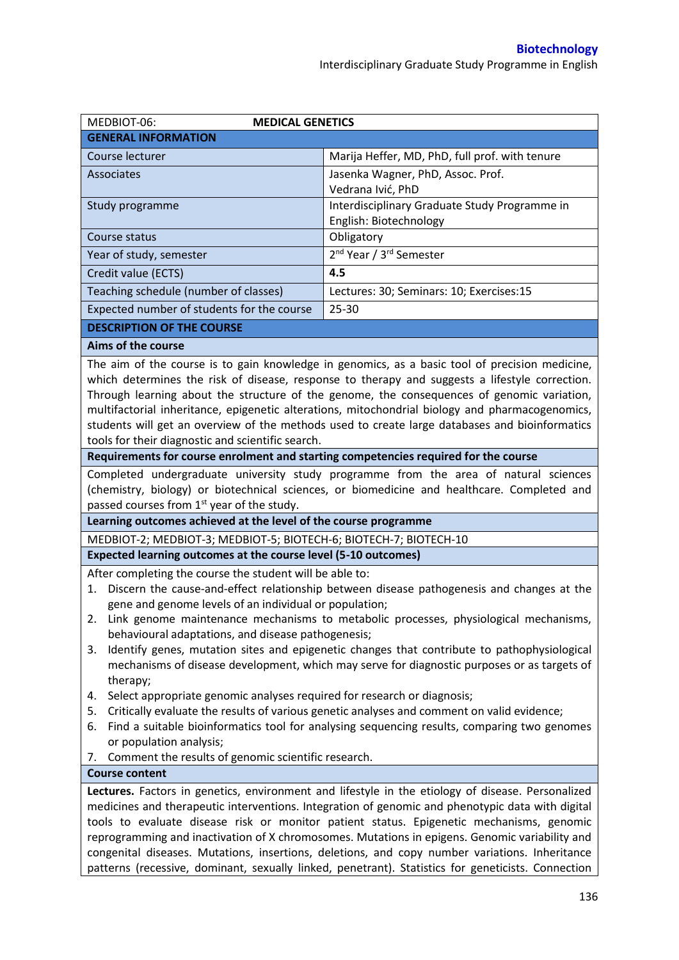| MEDBIOT-06:<br><b>MEDICAL GENETICS</b>                                                                                                        |                                                                                                                                                                                                   |  |  |
|-----------------------------------------------------------------------------------------------------------------------------------------------|---------------------------------------------------------------------------------------------------------------------------------------------------------------------------------------------------|--|--|
| <b>GENERAL INFORMATION</b>                                                                                                                    |                                                                                                                                                                                                   |  |  |
| Course lecturer                                                                                                                               | Marija Heffer, MD, PhD, full prof. with tenure                                                                                                                                                    |  |  |
| Associates                                                                                                                                    | Jasenka Wagner, PhD, Assoc. Prof.                                                                                                                                                                 |  |  |
|                                                                                                                                               | Vedrana Ivić, PhD                                                                                                                                                                                 |  |  |
| Study programme                                                                                                                               | Interdisciplinary Graduate Study Programme in                                                                                                                                                     |  |  |
|                                                                                                                                               | English: Biotechnology                                                                                                                                                                            |  |  |
| Course status                                                                                                                                 | Obligatory                                                                                                                                                                                        |  |  |
| Year of study, semester                                                                                                                       | 2 <sup>nd</sup> Year / 3 <sup>rd</sup> Semester                                                                                                                                                   |  |  |
| Credit value (ECTS)                                                                                                                           | 4.5                                                                                                                                                                                               |  |  |
| Teaching schedule (number of classes)                                                                                                         | Lectures: 30; Seminars: 10; Exercises:15                                                                                                                                                          |  |  |
| Expected number of students for the course                                                                                                    | $25 - 30$                                                                                                                                                                                         |  |  |
| <b>DESCRIPTION OF THE COURSE</b>                                                                                                              |                                                                                                                                                                                                   |  |  |
| Aims of the course                                                                                                                            |                                                                                                                                                                                                   |  |  |
|                                                                                                                                               | The aim of the course is to gain knowledge in genomics, as a basic tool of precision medicine,                                                                                                    |  |  |
|                                                                                                                                               | which determines the risk of disease, response to therapy and suggests a lifestyle correction.                                                                                                    |  |  |
|                                                                                                                                               | Through learning about the structure of the genome, the consequences of genomic variation,                                                                                                        |  |  |
|                                                                                                                                               | multifactorial inheritance, epigenetic alterations, mitochondrial biology and pharmacogenomics,<br>students will get an overview of the methods used to create large databases and bioinformatics |  |  |
| tools for their diagnostic and scientific search.                                                                                             |                                                                                                                                                                                                   |  |  |
| Requirements for course enrolment and starting competencies required for the course                                                           |                                                                                                                                                                                                   |  |  |
|                                                                                                                                               | Completed undergraduate university study programme from the area of natural sciences                                                                                                              |  |  |
|                                                                                                                                               | (chemistry, biology) or biotechnical sciences, or biomedicine and healthcare. Completed and                                                                                                       |  |  |
| passed courses from 1 <sup>st</sup> year of the study.                                                                                        |                                                                                                                                                                                                   |  |  |
| Learning outcomes achieved at the level of the course programme                                                                               |                                                                                                                                                                                                   |  |  |
| MEDBIOT-2; MEDBIOT-3; MEDBIOT-5; BIOTECH-6; BIOTECH-7; BIOTECH-10                                                                             |                                                                                                                                                                                                   |  |  |
| Expected learning outcomes at the course level (5-10 outcomes)                                                                                |                                                                                                                                                                                                   |  |  |
| After completing the course the student will be able to:                                                                                      |                                                                                                                                                                                                   |  |  |
| 1.                                                                                                                                            | Discern the cause-and-effect relationship between disease pathogenesis and changes at the                                                                                                         |  |  |
| gene and genome levels of an individual or population;                                                                                        |                                                                                                                                                                                                   |  |  |
| 2. Link genome maintenance mechanisms to metabolic processes, physiological mechanisms,<br>behavioural adaptations, and disease pathogenesis; |                                                                                                                                                                                                   |  |  |
| Identify genes, mutation sites and epigenetic changes that contribute to pathophysiological<br>3.                                             |                                                                                                                                                                                                   |  |  |
| mechanisms of disease development, which may serve for diagnostic purposes or as targets of                                                   |                                                                                                                                                                                                   |  |  |
| therapy;                                                                                                                                      |                                                                                                                                                                                                   |  |  |
| Select appropriate genomic analyses required for research or diagnosis;<br>4.                                                                 |                                                                                                                                                                                                   |  |  |
| Critically evaluate the results of various genetic analyses and comment on valid evidence;<br>5.                                              |                                                                                                                                                                                                   |  |  |
| 6.                                                                                                                                            | Find a suitable bioinformatics tool for analysing sequencing results, comparing two genomes                                                                                                       |  |  |
| or population analysis;<br>7. Comment the results of genomic scientific research.                                                             |                                                                                                                                                                                                   |  |  |
| <b>Course content</b>                                                                                                                         |                                                                                                                                                                                                   |  |  |
| Lectures. Factors in genetics, environment and lifestyle in the etiology of disease. Personalized                                             |                                                                                                                                                                                                   |  |  |
| medicines and therapeutic interventions. Integration of genomic and phenotypic data with digital                                              |                                                                                                                                                                                                   |  |  |
|                                                                                                                                               | tools to evaluate disease risk or monitor patient status. Epigenetic mechanisms, genomic                                                                                                          |  |  |
|                                                                                                                                               | reprogramming and inactivation of X chromosomes. Mutations in epigens. Genomic variability and                                                                                                    |  |  |
|                                                                                                                                               | congenital diseases. Mutations, insertions, deletions, and copy number variations. Inheritance                                                                                                    |  |  |
|                                                                                                                                               | patterns (recessive, dominant, sexually linked, penetrant). Statistics for geneticists. Connection                                                                                                |  |  |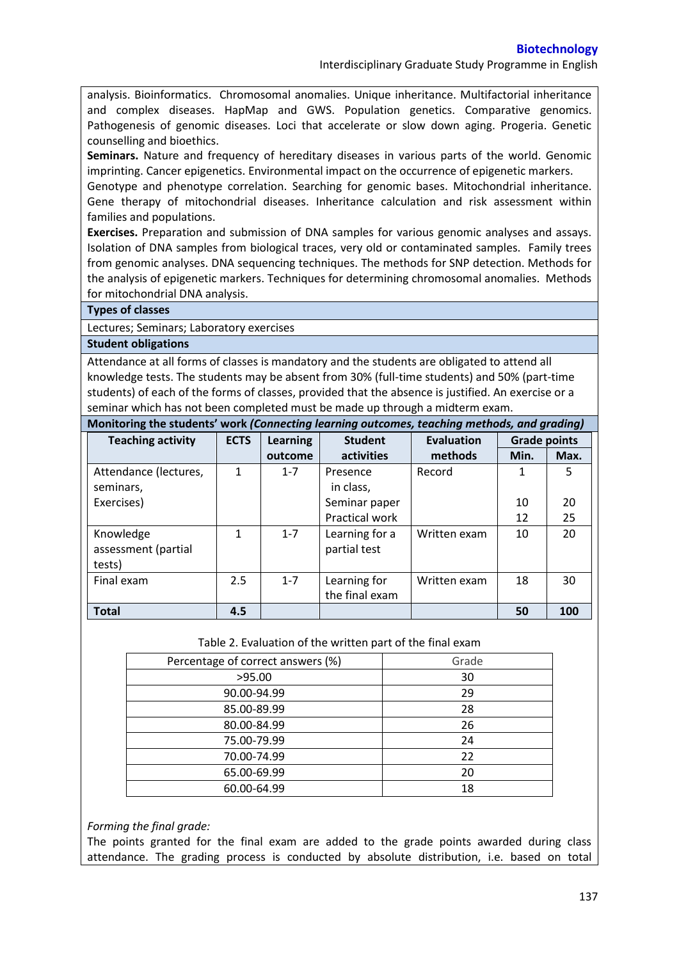Interdisciplinary Graduate Study Programme in English

analysis. Bioinformatics. Chromosomal anomalies. Unique inheritance. Multifactorial inheritance and complex diseases. HapMap and GWS. Population genetics. Comparative genomics. Pathogenesis of genomic diseases. Loci that accelerate or slow down aging. Progeria. Genetic counselling and bioethics.

**Seminars.** Nature and frequency of hereditary diseases in various parts of the world. Genomic imprinting. Cancer epigenetics. Environmental impact on the occurrence of epigenetic markers.

Genotype and phenotype correlation. Searching for genomic bases. Mitochondrial inheritance. Gene therapy of mitochondrial diseases. Inheritance calculation and risk assessment within families and populations.

**Exercises.** Preparation and submission of DNA samples for various genomic analyses and assays. Isolation of DNA samples from biological traces, very old or contaminated samples. Family trees from genomic analyses. DNA sequencing techniques. The methods for SNP detection. Methods for the analysis of epigenetic markers. Techniques for determining chromosomal anomalies. Methods for mitochondrial DNA analysis.

## **Types of classes**

Lectures; Seminars; Laboratory exercises

## **Student obligations**

Attendance at all forms of classes is mandatory and the students are obligated to attend all knowledge tests. The students may be absent from 30% (full-time students) and 50% (part-time students) of each of the forms of classes, provided that the absence is justified. An exercise or a seminar which has not been completed must be made up through a midterm exam.

| Monitoring the students' work (Connecting learning outcomes, teaching methods, and grading) |                        |     |            |              |
|---------------------------------------------------------------------------------------------|------------------------|-----|------------|--------------|
| Toaching activity                                                                           | $ETS \cup \text{harn}$ | $l$ | Evaluation | Grade nointe |

| <b>Teaching activity</b> | <b>ECTS</b>  | Learning | <b>Student</b> | <b>Evaluation</b> | <b>Grade points</b> |      |
|--------------------------|--------------|----------|----------------|-------------------|---------------------|------|
|                          |              | outcome  | activities     | methods           | Min.                | Max. |
| Attendance (lectures,    | $\mathbf{1}$ | $1 - 7$  | Presence       | Record            | 1                   | 5    |
| seminars,                |              |          | in class,      |                   |                     |      |
| Exercises)               |              |          | Seminar paper  |                   | 10                  | 20   |
|                          |              |          | Practical work |                   | 12                  | 25   |
| Knowledge                | 1            | $1 - 7$  | Learning for a | Written exam      | 10                  | 20   |
| assessment (partial      |              |          | partial test   |                   |                     |      |
| tests)                   |              |          |                |                   |                     |      |
| Final exam               | 2.5          | $1 - 7$  | Learning for   | Written exam      | 18                  | 30   |
|                          |              |          | the final exam |                   |                     |      |
| <b>Total</b>             | 4.5          |          |                |                   | 50                  | 100  |

## Table 2. Evaluation of the written part of the final exam

| Percentage of correct answers (%) | Grade |
|-----------------------------------|-------|
| >95.00                            | 30    |
| 90.00-94.99                       | 29    |
| 85.00-89.99                       | 28    |
| 80.00-84.99                       | 26    |
| 75.00-79.99                       | 24    |
| 70.00-74.99                       | 22    |
| 65.00-69.99                       | 20    |
| 60.00-64.99                       | 18    |

*Forming the final grade:*

The points granted for the final exam are added to the grade points awarded during class attendance. The grading process is conducted by absolute distribution, i.e. based on total